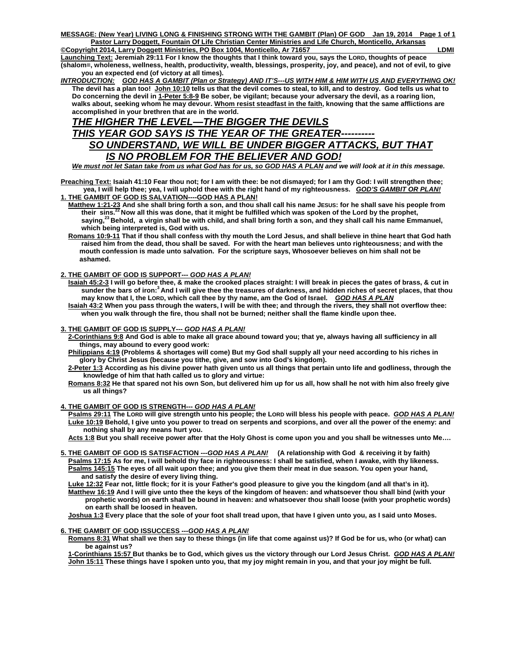**MESSAGE: (New Year) LIVING LONG & FINISHING STRONG WITH THE GAMBIT (Plan) OF GOD Jan 19, 2014 Page 1 of 1 Pastor Larry Doggett, Fountain Of Life Christian Center Ministries and Life Church, Monticello, Arkansas ©Copyright 2014, Larry Doggett Ministries, PO Box 1004, Monticello, Ar 71657** LOMI

**Launching Text: Jeremiah 29:11 For I know the thoughts that I think toward you, says the LORD, thoughts of peace (shalom=, wholeness, wellness, health, productivity, wealth, blessings, prosperity, joy, and peace), and not of evil, to give you an expected end (of victory at all times).** 

*INTRODUCTION:**GOD HAS A GAMBIT (Plan or Strategy) AND IT'S---US WITH HIM & HIM WITH US AND EVERYTHING OK!* **The devil has a plan too! John 10:10 tells us that the devil comes to steal, to kill, and to destroy. God tells us what to Do concerning the devil in 1-Peter 5:8-9 Be sober, be vigilant; because your adversary the devil, as a roaring lion, walks about, seeking whom he may devour. Whom resist steadfast in the faith, knowing that the same afflictions are accomplished in your brethren that are in the world.** 

# *THE HIGHER THE LEVEL—THE BIGGER THE DEVILS THIS YEAR GOD SAYS IS THE YEAR OF THE GREATER---------- SO UNDERSTAND, WE WILL BE UNDER BIGGER ATTACKS, BUT THAT IS NO PROBLEM FOR THE BELIEVER AND GOD!*

*We must not let Satan take from us what God has for us, so GOD HAS A PLAN and we will look at it in this message.* 

**Preaching Text: Isaiah 41:10 Fear thou not; for I am with thee: be not dismayed; for I am thy God: I will strengthen thee; yea, I will help thee; yea, I will uphold thee with the right hand of my righteousness.** *GOD'S GAMBIT OR PLAN!* **1. THE GAMBIT OF GOD IS SALVATION----GOD HAS A PLAN!**

<u>Matthew 1:21-23</u> And she shall bring forth a son, and thou shall call his name JESUS: for he shall save his people from<br>their sins.<sup>22</sup> Now all this was done, that it might be fulfilled which was spoken of the Lord by the saying,<sup>23</sup> Behold, a virgin shall be with child, and shall bring forth a son, and they shall call his name Emmanuel,  **which being interpreted is, God with us.** 

 **Romans 10:9-11 That if thou shall confess with thy mouth the Lord Jesus, and shall believe in thine heart that God hath raised him from the dead, thou shall be saved. For with the heart man believes unto righteousness; and with the mouth confession is made unto salvation. For the scripture says, Whosoever believes on him shall not be ashamed.**

# **2. THE GAMBIT OF GOD IS SUPPORT---** *GOD HAS A PLAN!*

- **Isaiah 45:2-3 I will go before thee, & make the crooked places straight: I will break in pieces the gates of brass, & cut in**  sunder the bars of iron:<sup>3</sup> And I will give thee the treasures of darkness, and hidden riches of secret places, that thou  **may know that I, the LORD, which call thee by thy name, am the God of Israel.** *GOD HAS A PLAN*
- **Isaiah 43:2 When you pass through the waters, I will be with thee; and through the rivers, they shall not overflow thee: when you walk through the fire, thou shall not be burned; neither shall the flame kindle upon thee.**

# **3. THE GAMBIT OF GOD IS SUPPLY---** *GOD HAS A PLAN!*

- **2-Corinthians 9:8 And God is able to make all grace abound toward you; that ye, always having all sufficiency in all things, may abound to every good work:**
- **Philippians 4:19 (Problems & shortages will come) But my God shall supply all your need according to his riches in glory by Christ Jesus (because you tithe, give, and sow into God's kingdom).**
- **2-Peter 1:3 According as his divine power hath given unto us all things that pertain unto life and godliness, through the knowledge of him that hath called us to glory and virtue:**
- **Romans 8:32 He that spared not his own Son, but delivered him up for us all, how shall he not with him also freely give us all things?**

## **4. THE GAMBIT OF GOD IS STRENGTH---** *GOD HAS A PLAN!*

 **Psalms 29:11 The LORD will give strength unto his people; the LORD will bless his people with peace.** *GOD HAS A PLAN!*  **Luke 10:19 Behold, I give unto you power to tread on serpents and scorpions, and over all the power of the enemy: and nothing shall by any means hurt you.** 

 **Acts 1:8 But you shall receive power after that the Holy Ghost is come upon you and you shall be witnesses unto Me….** 

**5. THE GAMBIT OF GOD IS SATISFACTION** *---GOD HAS A PLAN!* **(A relationship with God & receiving it by faith) Psalms 17:15 As for me, I will behold thy face in righteousness: I shall be satisfied, when I awake, with thy likeness. Psalms 145:15 The eyes of all wait upon thee; and you give them their meat in due season. You open your hand, and satisfy the desire of every living thing.** 

 **Luke 12:32 Fear not, little flock; for it is your Father's good pleasure to give you the kingdom (and all that's in it). Matthew 16:19 And I will give unto thee the keys of the kingdom of heaven: and whatsoever thou shall bind (with your prophetic words) on earth shall be bound in heaven: and whatsoever thou shall loose (with your prophetic words) on earth shall be loosed in heaven.** 

 **Joshua 1:3 Every place that the sole of your foot shall tread upon, that have I given unto you, as I said unto Moses.** 

#### **6. THE GAMBIT OF GOD ISSUCCESS** *---GOD HAS A PLAN!*

 **Romans 8:31 What shall we then say to these things (in life that come against us)? If God be for us, who (or what) can be against us?** 

 **1-Corinthians 15:57 But thanks be to God, which gives us the victory through our Lord Jesus Christ.** *GOD HAS A PLAN!*  **John 15:11 These things have I spoken unto you, that my joy might remain in you, and that your joy might be full.**